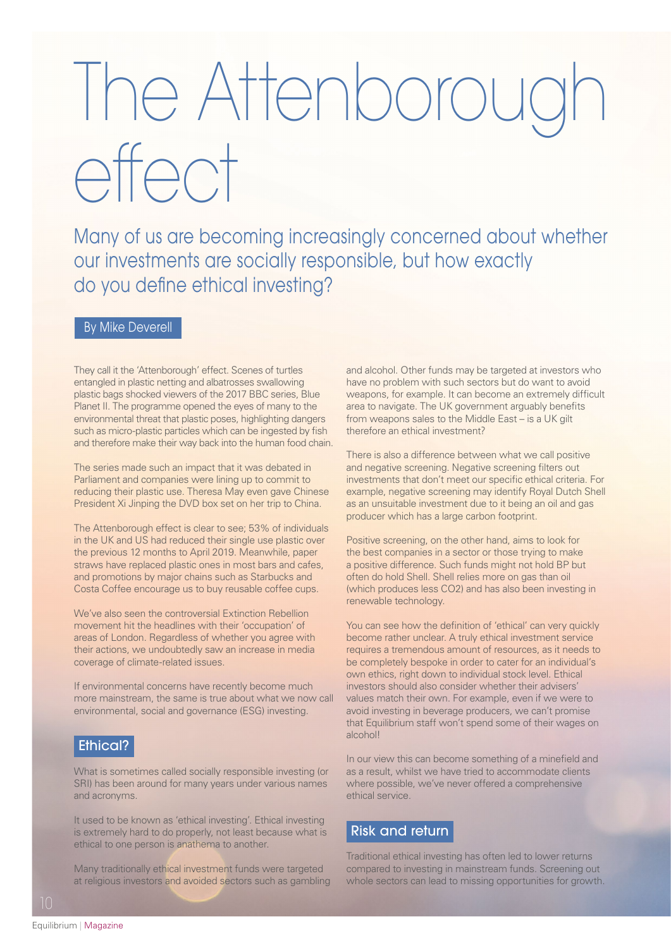# The Attenboroug effect

Many of us are becoming increasingly concerned about whether our investments are socially responsible, but how exactly do you define ethical investing?

# By Mike Deverell

They call it the 'Attenborough' effect. Scenes of turtles entangled in plastic netting and albatrosses swallowing plastic bags shocked viewers of the 2017 BBC series, Blue Planet II. The programme opened the eyes of many to the environmental threat that plastic poses, highlighting dangers such as micro-plastic particles which can be ingested by fish and therefore make their way back into the human food chain.

The series made such an impact that it was debated in Parliament and companies were lining up to commit to reducing their plastic use. Theresa May even gave Chinese President Xi Jinping the DVD box set on her trip to China.

The Attenborough effect is clear to see; 53% of individuals in the UK and US had reduced their single use plastic over the previous 12 months to April 2019. Meanwhile, paper straws have replaced plastic ones in most bars and cafes, and promotions by major chains such as Starbucks and Costa Coffee encourage us to buy reusable coffee cups.

We've also seen the controversial Extinction Rebellion movement hit the headlines with their 'occupation' of areas of London. Regardless of whether you agree with their actions, we undoubtedly saw an increase in media coverage of climate-related issues.

If environmental concerns have recently become much more mainstream, the same is true about what we now call environmental, social and governance (ESG) investing.

# Ethical?

What is sometimes called socially responsible investing (or SRI) has been around for many years under various names and acronyms.

It used to be known as 'ethical investing'. Ethical investing is extremely hard to do properly, not least because what is ethical to one person is anathema to another.

Many traditionally ethical investment funds were targeted at religious investors and avoided sectors such as gambling and alcohol. Other funds may be targeted at investors who have no problem with such sectors but do want to avoid weapons, for example. It can become an extremely difficult area to navigate. The UK government arguably benefits from weapons sales to the Middle East – is a UK gilt therefore an ethical investment?

There is also a difference between what we call positive and negative screening. Negative screening filters out investments that don't meet our specific ethical criteria. For example, negative screening may identify Royal Dutch Shell as an unsuitable investment due to it being an oil and gas producer which has a large carbon footprint.

Positive screening, on the other hand, aims to look for the best companies in a sector or those trying to make a positive difference. Such funds might not hold BP but often do hold Shell. Shell relies more on gas than oil (which produces less CO2) and has also been investing in renewable technology.

You can see how the definition of 'ethical' can very quickly become rather unclear. A truly ethical investment service requires a tremendous amount of resources, as it needs to be completely bespoke in order to cater for an individual's own ethics, right down to individual stock level. Ethical investors should also consider whether their advisers' values match their own. For example, even if we were to avoid investing in beverage producers, we can't promise that Equilibrium staff won't spend some of their wages on alcohol!

In our view this can become something of a minefield and as a result, whilst we have tried to accommodate clients where possible, we've never offered a comprehensive ethical service.

## Risk and return

Traditional ethical investing has often led to lower returns compared to investing in mainstream funds. Screening out whole sectors can lead to missing opportunities for growth.